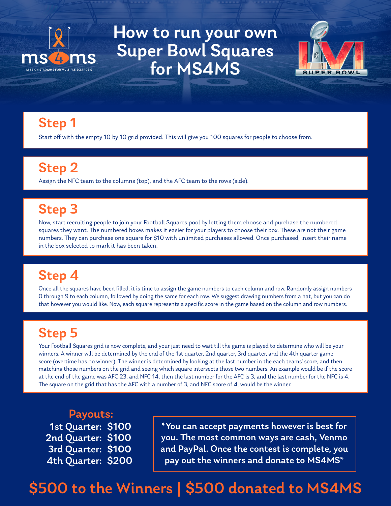

How to run your own Super Bowl Squares for MS4MS



#### Step 1

Start off with the empty 10 by 10 grid provided. This will give you 100 squares for people to choose from.

### Step 2

Assign the NFC team to the columns (top), and the AFC team to the rows (side).

#### Step 3

Now, start recruiting people to join your Football Squares pool by letting them choose and purchase the numbered squares they want. The numbered boxes makes it easier for your players to choose their box. These are not their game numbers. They can purchase one square for \$10 with unlimited purchases allowed. Once purchased, insert their name in the box selected to mark it has been taken.

#### Step 4

Once all the squares have been filled, it is time to assign the game numbers to each column and row. Randomly assign numbers 0 through 9 to each column, followed by doing the same for each row. We suggest drawing numbers from a hat, but you can do that however you would like. Now, each square represents a specific score in the game based on the column and row numbers.

#### Step 5

Your Football Squares grid is now complete, and your just need to wait till the game is played to determine who will be your winners. A winner will be determined by the end of the 1st quarter, 2nd quarter, 3rd quarter, and the 4th quarter game score (overtime has no winner). The winner is determined by looking at the last number in the each teams' score, and then matching those numbers on the grid and seeing which square intersects those two numbers. An example would be if the score at the end of the game was AFC 23, and NFC 14, then the last number for the AFC is 3, and the last number for the NFC is 4. The square on the grid that has the AFC with a number of 3, and NFC score of 4, would be the winner.

Payouts: 1st Quarter: \$100 2nd Quarter: \$100 3rd Quarter: \$100 4th Quarter: \$200

\*You can accept payments however is best for you. The most common ways are cash, Venmo and PayPal. Once the contest is complete, you pay out the winners and donate to MS4MS\*

## \$500 to the Winners | \$500 donated to MS4MS